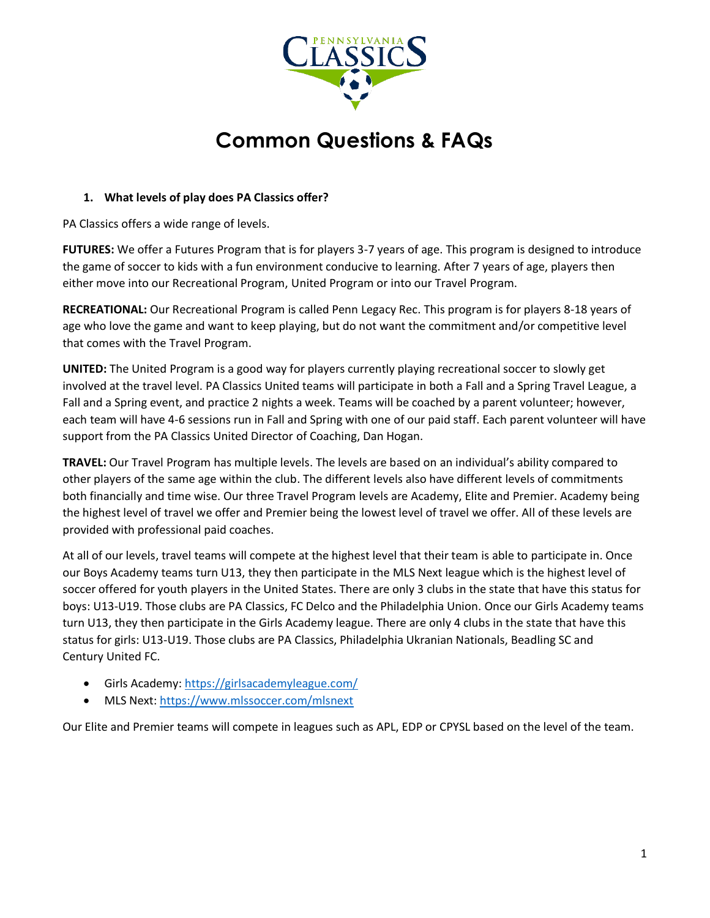

# **Common Questions & FAQs**

# **1. What levels of play does PA Classics offer?**

PA Classics offers a wide range of levels.

**FUTURES:** We offer a Futures Program that is for players 3-7 years of age. This program is designed to introduce the game of soccer to kids with a fun environment conducive to learning. After 7 years of age, players then either move into our Recreational Program, United Program or into our Travel Program.

**RECREATIONAL:** Our Recreational Program is called Penn Legacy Rec. This program is for players 8-18 years of age who love the game and want to keep playing, but do not want the commitment and/or competitive level that comes with the Travel Program.

**UNITED:** The United Program is a good way for players currently playing recreational soccer to slowly get involved at the travel level. PA Classics United teams will participate in both a Fall and a Spring Travel League, a Fall and a Spring event, and practice 2 nights a week. Teams will be coached by a parent volunteer; however, each team will have 4-6 sessions run in Fall and Spring with one of our paid staff. Each parent volunteer will have support from the PA Classics United Director of Coaching, Dan Hogan.

**TRAVEL:** Our Travel Program has multiple levels. The levels are based on an individual's ability compared to other players of the same age within the club. The different levels also have different levels of commitments both financially and time wise. Our three Travel Program levels are Academy, Elite and Premier. Academy being the highest level of travel we offer and Premier being the lowest level of travel we offer. All of these levels are provided with professional paid coaches.

At all of our levels, travel teams will compete at the highest level that their team is able to participate in. Once our Boys Academy teams turn U13, they then participate in the MLS Next league which is the highest level of soccer offered for youth players in the United States. There are only 3 clubs in the state that have this status for boys: U13-U19. Those clubs are PA Classics, FC Delco and the Philadelphia Union. Once our Girls Academy teams turn U13, they then participate in the Girls Academy league. There are only 4 clubs in the state that have this status for girls: U13-U19. Those clubs are PA Classics, Philadelphia Ukranian Nationals, Beadling SC and Century United FC.

- Girls Academy:<https://girlsacademyleague.com/>
- MLS Next:<https://www.mlssoccer.com/mlsnext>

Our Elite and Premier teams will compete in leagues such as APL, EDP or CPYSL based on the level of the team.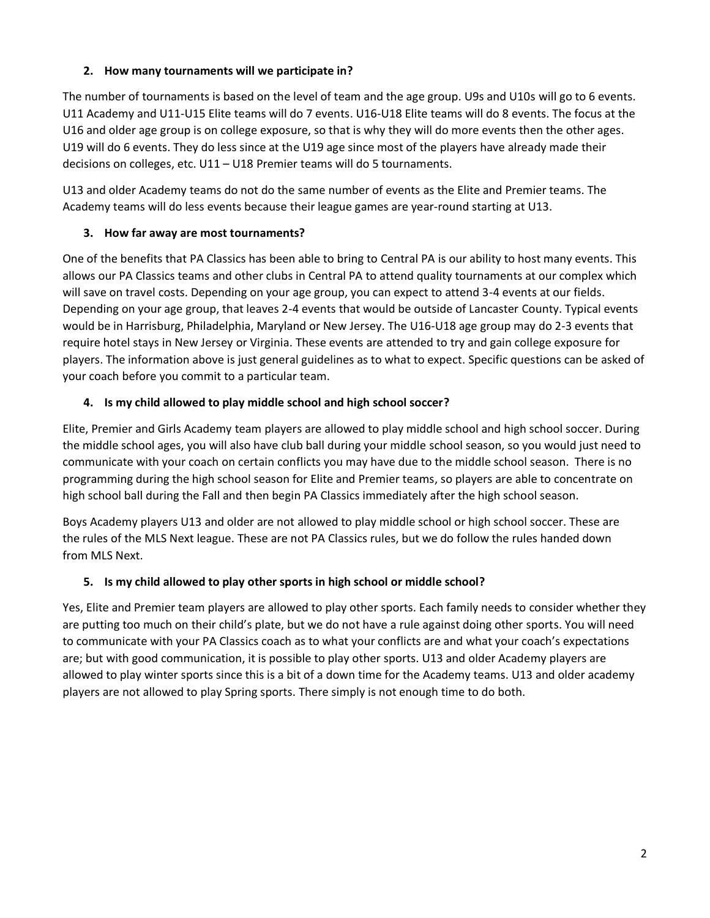# **2. How many tournaments will we participate in?**

The number of tournaments is based on the level of team and the age group. U9s and U10s will go to 6 events. U11 Academy and U11-U15 Elite teams will do 7 events. U16-U18 Elite teams will do 8 events. The focus at the U16 and older age group is on college exposure, so that is why they will do more events then the other ages. U19 will do 6 events. They do less since at the U19 age since most of the players have already made their decisions on colleges, etc. U11 – U18 Premier teams will do 5 tournaments.

U13 and older Academy teams do not do the same number of events as the Elite and Premier teams. The Academy teams will do less events because their league games are year-round starting at U13.

# **3. How far away are most tournaments?**

One of the benefits that PA Classics has been able to bring to Central PA is our ability to host many events. This allows our PA Classics teams and other clubs in Central PA to attend quality tournaments at our complex which will save on travel costs. Depending on your age group, you can expect to attend 3-4 events at our fields. Depending on your age group, that leaves 2-4 events that would be outside of Lancaster County. Typical events would be in Harrisburg, Philadelphia, Maryland or New Jersey. The U16-U18 age group may do 2-3 events that require hotel stays in New Jersey or Virginia. These events are attended to try and gain college exposure for players. The information above is just general guidelines as to what to expect. Specific questions can be asked of your coach before you commit to a particular team.

#### **4. Is my child allowed to play middle school and high school soccer?**

Elite, Premier and Girls Academy team players are allowed to play middle school and high school soccer. During the middle school ages, you will also have club ball during your middle school season, so you would just need to communicate with your coach on certain conflicts you may have due to the middle school season. There is no programming during the high school season for Elite and Premier teams, so players are able to concentrate on high school ball during the Fall and then begin PA Classics immediately after the high school season.

Boys Academy players U13 and older are not allowed to play middle school or high school soccer. These are the rules of the MLS Next league. These are not PA Classics rules, but we do follow the rules handed down from MLS Next.

#### **5. Is my child allowed to play other sports in high school or middle school?**

Yes, Elite and Premier team players are allowed to play other sports. Each family needs to consider whether they are putting too much on their child's plate, but we do not have a rule against doing other sports. You will need to communicate with your PA Classics coach as to what your conflicts are and what your coach's expectations are; but with good communication, it is possible to play other sports. U13 and older Academy players are allowed to play winter sports since this is a bit of a down time for the Academy teams. U13 and older academy players are not allowed to play Spring sports. There simply is not enough time to do both.